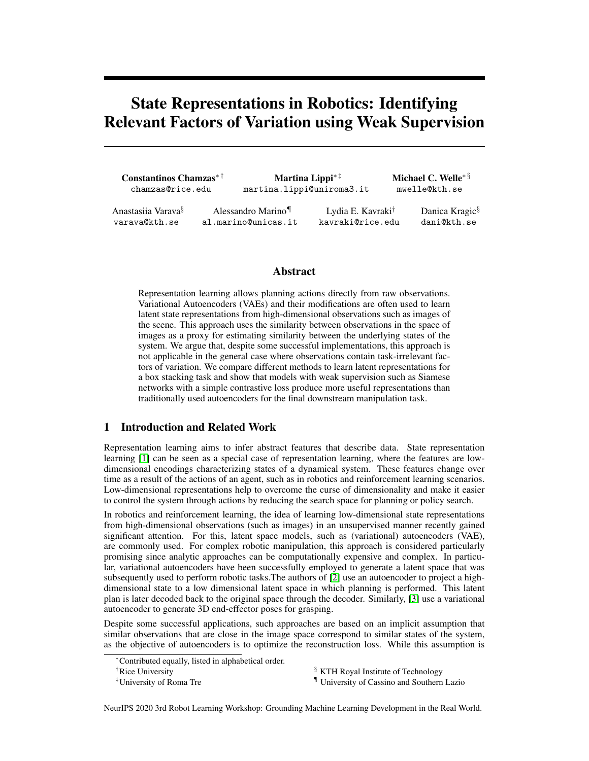# State Representations in Robotics: Identifying Relevant Factors of Variation using Weak Supervision

| Constantinos Chamzas <sup>*†</sup><br>chamzas@rice.edu | martina.lippi@uniroma3.it                | Martina Lippi <sup><math>*</math>†</sup>          | Michael C. Welle <sup>* §</sup><br>mwelle@kth.se |                                           |  |  |
|--------------------------------------------------------|------------------------------------------|---------------------------------------------------|--------------------------------------------------|-------------------------------------------|--|--|
| Anastasiia Varava <sup>§</sup><br>varava@kth.se        | Alessandro Marino<br>al.marino@unicas.it | Lydia E. Kavraki <sup>†</sup><br>kavraki@rice.edu |                                                  | Danica Kragic <sup>§</sup><br>dani@kth.se |  |  |

## Abstract

Representation learning allows planning actions directly from raw observations. Variational Autoencoders (VAEs) and their modifications are often used to learn latent state representations from high-dimensional observations such as images of the scene. This approach uses the similarity between observations in the space of images as a proxy for estimating similarity between the underlying states of the system. We argue that, despite some successful implementations, this approach is not applicable in the general case where observations contain task-irrelevant factors of variation. We compare different methods to learn latent representations for a box stacking task and show that models with weak supervision such as Siamese networks with a simple contrastive loss produce more useful representations than traditionally used autoencoders for the final downstream manipulation task.

# 1 Introduction and Related Work

Representation learning aims to infer abstract features that describe data. State representation learning [1] can be seen as a special case of representation learning, where the features are lowdimensional encodings characterizing states of a dynamical system. These features change over time as a result of the actions of an agent, such as in robotics and reinforcement learning scenarios. Low-dimensional representations help to overcome the curse of dimensionality and make it easier to control the system through actions by reducing the search space for planning or policy search.

In robotics and reinforcement learning, the idea of learning low-dimensional state representations from high-dimensional observations (such as images) in an unsupervised manner recently gained significant attention. For this, latent space models, such as (variational) autoencoders (VAE), are commonly used. For complex robotic manipulation, this approach is considered particularly promising since analytic approaches can be computationally expensive and complex. In particular, variational autoencoders have been successfully employed to generate a latent space that was subsequently used to perform robotic tasks.The authors of [2] use an autoencoder to project a highdimensional state to a low dimensional latent space in which planning is performed. This latent plan is later decoded back to the original space through the decoder. Similarly, [3] use a variational autoencoder to generate 3D end-effector poses for grasping.

Despite some successful applications, such approaches are based on an implicit assumption that similar observations that are close in the image space correspond to similar states of the system, as the objective of autoencoders is to optimize the reconstruction loss. While this assumption is

<sup>†</sup>Rice University  ${}^{\S}$  KTH Royal Institute of Technology

<sup>‡</sup>University of Roma Tre **T** University of Cassino and Southern Lazio

NeurIPS 2020 3rd Robot Learning Workshop: Grounding Machine Learning Development in the Real World.

<sup>∗</sup>Contributed equally, listed in alphabetical order.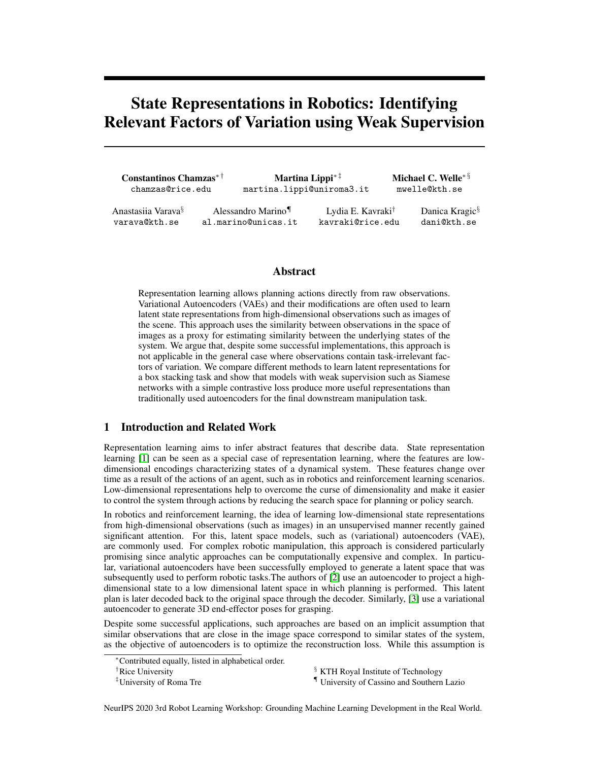reasonable in some settings, we argue that in general, very different images can correspond to the same underlying state when other factors of variation, that are not relevant for the task, are present in the observations. Examples of these factors are changes in the lighting conditions, camera position, and occlusions in the scene.

To mitigate this effect, it is crucial to identify the *task-relevant* factors of variation. While some steps in this direction have been made, for instance, through considering independently controllable factors of variation [4] ensuring that only chosen factors of variation are being changed in the process of data collection, designing policies for that remains a challenge: for instance, if a robot is operating in a cluttered environment, moving one object can induce complex interactions with the surrounding objects; furthermore, if the data is being collected on real hardware, irrelevant external factors can be difficult to control and, ideally, need to be ignored.

In [5], this problem is addressed by incorporating weak supervision into the training dataset: the authors execute a small number of single actions on a robot and collect the observations before and after performing an action. This information is used to identify observations corresponding to different states: a pair of observations is considered different if there is an action performed between them. Furthermore, the recorded actions are used to build a roadmap in the latent space, allowing to capture the global dynamics of the system with relatively few observations, in contrast to [6] and [7], where a significant amount of training data is required to learn dynamics directly from observations.

In the present work, we investigate how this sparse information can be used to learn useful state representations. We consider a dataset where different task-irrelevant factors are present implying that changes in images are only weakly correlated with changes in the states. This is achieved by using different viewpoints of the same scene and randomizing the color of irrelevant parts of the scene as well as the illumination. Subsequently, we evaluate state space representations produced by three different models on a downstream manipulation task.

We show that *(i)* a significant performance improvement is achieved when weak supervision is included in the loss function and *(ii)*, when task-irrelevant factors of variation are present in the dataset, VAE-based encodings are significantly worse than models that leverage task-related information about state similarity. Furthermore, we show that a Siamese network with a much simpler architecture produces better representations and is significantly easier to train than VAE-based models.

# 2 Problem Description

We consider a robotic manipulation task for which a latent representation is built from images. As an example, the task of stacking boxes in a simulated environment similar to [5] is considered.

Box stacking task: The task is to find a feasible plan given a start and a goal image. To perform the task, it is desirable that the resulting latent structure is easy to exploit by simple clustering and graph building algorithms. We consider the arrangement of boxes in the scenes as underlying states, thus leading to exactly 12 possible states of the system. In this task, the underlying state of the system which we aim to capture with the latent representation, does not change if, for instance, different viewpoints of the camera, different background and table color, as well as different levels of illumination are used to record the scene. For more information about the task and the stacking rules see Appendix 5.4.

Datasets: Three different viewpoints, as shown in Fig. 1, are considered to capture the scene. such as lighting conditions or different viewpoints, have changed. The four datasets are built as follows: *i)*  $D_f$  where both the observations  $I_1$  and  $I_2$  in each triplet are taken from view front, *ii)*  $D_r$  where the observations are only taken from view right,  $\delta$ *iii*)  $D_l$  where the observations are only taken from view left, and  $iv$ )  $D_m$  where we enforce that the views for  $I_1$  and  $I_2$  are different. The datasets are thus defined in such a way to allow the investigation of the effects of



Figure 1: Examples of observations from three different viewpoints used for building the datasets.

task-irrelevant factors in the observations. We use the simulation environment Unity [8] for generating the datasets. For each dataset, we use 2500 data samples for training, with 1598 action-pairs  $(a = 1)$ , and we generate 2500 more data samples as holdout set for evaluation.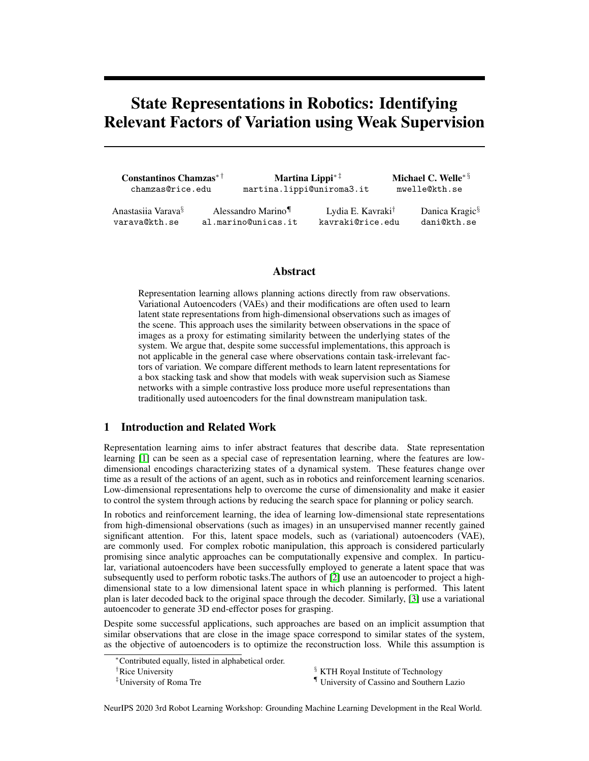

Figure 2: t-SNE plots for 2000 encoded observations form all four models latent space using datasets  $D_f$  (top row) and  $D_m$  (bottom row).

Models: We tested three different models each learning a 12 dimensional latent space as the underlying state: *i) -VAE:* standard -VAE [9] with reconstruction loss and KL-divergence term encouraging a compact latent space representation. *ii) VAE-A:* -VAE combined with a contrastive loss, called action loss in [5], that encourages the encoding of actions pairs at a certain distance while minimising the distance between no-action pairs. *iii) Siamese:* a Siamese network with a pairwise contrastive loss [10] which structures the latent space such that it minimizes the pairwise euclidean distance between similar pairs and increases it between dissimilar pairs. As similar pairs the no-action ( $a = 0$ ) pairs are considered while for dissimilar the action pairs were used ( $a = 1$ ). The considered models thus allow to compare the results when the latent representation is obtained by heavily using the reconstruction loss ( -VAE) and when it is obtained using a combination of reconstruction and contrastive losses (VAE-A) or using only a contrastive loss (Siamese) that does not have any reconstructive term. For more details on the architecture, and loss functions, as well as the chosen hyperparameters refer to the Appendix 5.1. However, note that a much simpler architecture is used for the Siamese network compared to the VAE ones.

Connecting clusters with actions: We adopt the Latent Space Roadmap (LSR) method from [5] to build a graph structure in the latent space that can be used for planning purposes. The basic idea is to perform clustering in the latent space and connect the clusters in the case a transition between them is allowed. For this, we build a graph where each node is associated with a cluster and each edge with a possible transition. Given this graph, it is possible to find the shortest paths on it that lead from the encoded start state to the encoded goal state. In the case of perfect state space representation, the number of clusters should be equal to the number of possible states of the system while the number of edges should be equal to the number of possible transitions between states. In this work, we use HDBSCAN [11] for clustering that only takes the minimum cluster size as input parameter. For more details about the building of the Latent Space Roadmap see [5], and Appendix 5.2. Note that the objective of the planning process is to produce plans of *actions* that lead from start to goal state. To this aim, no decoded images are needed and the plans can be found through the LSR in the latent space generated by any model (either based on VAE or Siamese networks).

## 3 Experiments

In this section we evaluate the latent representations obtained with the different models on the different datasets. We consider the following criteria:

- 1. Number of clusters, which should ideally be equal to the number of possible system states (12 in our stacking scenario);
- 2. Homogeneity of clusters, with range  $[0, 1]$ , defined as the average ratio of samples associated with the same class compared to the total number of samples in each cluster;
- 3. Number of edges built between clusters adopting the graph building method from [5]. The optimal number of edges is 24;
- 4. Correctness of the edges, with range [0; 1], defined as the number of edges that fulfill the stacking rules divided by the total number of edges;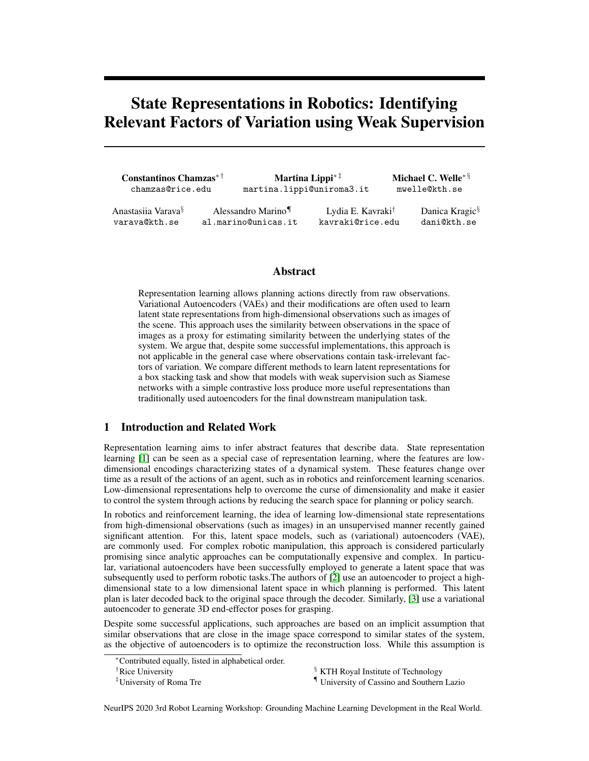5. Performance of planning 1000 paths between random novel start and goal observations. More specifically, we evaluate the percentage that all found paths are correct and the percentage if at least one path is correct.

|         | Dataset $D_{\boldsymbol{\epsilon}}$ |        |       |       |              |          | Dataset $D_m$ |        |       |       |              |          |
|---------|-------------------------------------|--------|-------|-------|--------------|----------|---------------|--------|-------|-------|--------------|----------|
| Models  | Clust.                              | Clust. | Edges | Edge  | Paths scores |          | Clust.        | Clust. | Edges | Edge  | Paths scores |          |
|         | num.                                | hom.   | num.  | corr. | $\%$ all     | $\%$ any | num.          | hom.   | num.  | corr. | $\%$ all     | $\%$ any |
| -VAE    | 715                                 | 0:98   | 617   | 0:95  | 8:05         | 8:3      | 757           | 0:95   | 644   | 0:93  |              | 1:0      |
| VAE-A   | 12                                  | 1:0    | 24    | 1.:0  | 100:0        | 100:0    | 87            | 0.86   | 91    | 0.85  | 17:89        | 20:3     |
| Siamese | 12                                  | 1:0    | 25    | 0:96  | 94:21        | 98:1     | 25            | 0:95   | 64    | 0.88  | 49:47        | 52:6     |

Table 1: Results for the four models ( $\neg$ -VAE, VAE-A and Siamese) on  $D_f$ 

and  $D_m$ . We report the number of clusters and their homogeneity, the number of edges and their correctness score, and the planning performance in terms of percentage when all found paths are correct and percentage if at least one path is correct. Best results in bold.

Table 1 reports the experimental results obtained with datasets  $D_f$  (on the left) and  $D_m$  (on the right). Note that dataset  $D_f$  fulfills the general assumption that changes in the observations significantly correlate with changes in the system states since it only uses the frontal view in Fig. 1. This is not verified instead in dataset  $D_m$  where different viewpoints are considered. The results show that, for dataset  $D_f$ , the -VAE leads to a very high number of clusters (715 nodes) indicating that the latent space structure is very fragmented. Based on these clusters, a high number of edges is built and poor planning performance of 8% is achieved for the correctness of all found paths. Perfect performance is then achieved by the VAE-A model, which reaches the optimal number of clusters and edges as well as a perfect score for homogeneity and edges correctness. This result is in line with our expectations as, for this dataset, the VAE-A combines the best of two worlds: it makes use of the correlation between changes in observations and in the respective underlying states with the reconstruction loss, while also incorporating the weak knowledge of actions between states with the contrastive loss. This however comes at the cost of two additional hyperparameters that need to be tuned. while not perfect, very good results regarding clusters, edges , and planning are also achieved by the Siamese models.

For dataset  $D_m$ , we observe that a significant decrease of performance is obtained with all the models, proving its higher representation complexity with respect to  $D_f$ . More specifically, the

-VAE fails completely in all the evaluation criteria reaching 1% for the planning performance. Better structuring is achieved by the informed VAE-A which gives 18% for the correctness of all the paths. However, the large number of clusters with low homogeneity (0:86) prevents better planing performance. Finally, the Siamese network reports the best overall performance as it builds the fewest number of clusters and edges as well as achieves the best performance of 49% for the correctness of all paths. The results thus confirm that the absence of a reconstruction loss can improve the performance when the changes in the system observations are not necessarily correlated with changes in the underlying states.

Fig. 2 shows a qualitative visualization of the structure of the latent spaces using t-SNE [12]. The figure reports the t-SNE plots applied to 2500 representations obtained using -VAE, VAE-A and Siamese on datasets  $D_f$  (top row) and  $D_m$  (bottom row). The figure thus confirms the previous findings showing that the structure generated by the models using the weak supervision is clearly superior to the basic -VAE for which very fragmented clusters are obtained. It is also evident that the VAE-A does not succeed in structuring the latent representation as much as the Siamese model. The results associated with datasets  $D_r$  and  $D_l$  are reported in the Appendix 5.3.

## 4 Conclusion

In this work, we argue that autoencoder-based state representations are generally not ideal for robotics, as they fail to capture the true similarity between states when irrelevant factors of variation are present in the observations. We train three models that are based on a VAE and a Siamese network given a set of observations where visually different images correspond to the same state, and demonstrate that a weak supervision signal in the form of a relatively small set of action-separated observations significantly improves the quality of the generated latent state space. We argue that training a variational autoencoder to extract state representations is more computationally expensive and may lead to worse state representations with respect to the overall downstream task.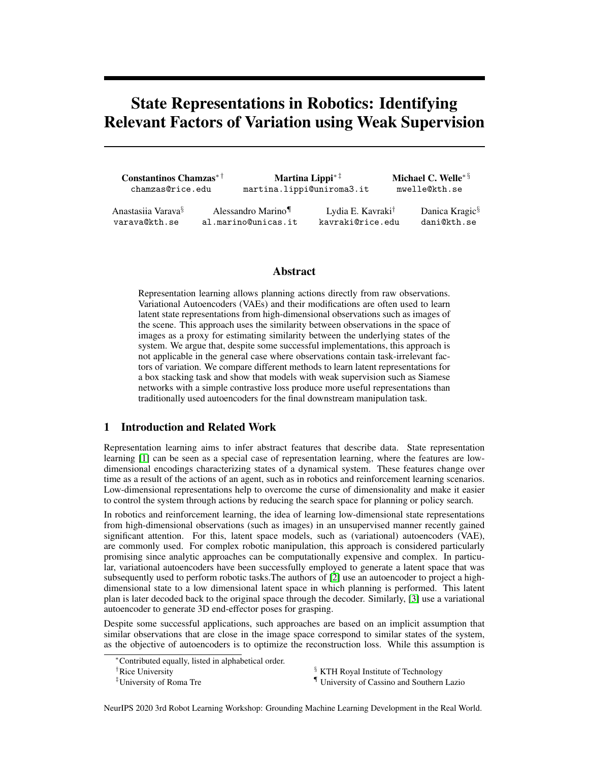## **References**

- [1] Timothée Lesort, Natalia Díaz-Rodríguez, Jean-Franois Goudou, and David Filliat. State representation learning for control: An overview. *Neural Networks*, 108:379–392, 2018.
- [2] Brian Ichter and Marco Pavone. Robot motion planning in learned latent spaces. *IEEE Robot. Autom. Letters*, 4(3):2407–2414, 2019.
- [3] Arsalan Mousavian, Clemens Eppner, and Dieter Fox. 6-dof graspnet: Variational grasp generation for object manipulation, 2019.
- [4] Valentin Thomas, Emmanuel Bengio, William Fedus, Jules Pondard, Philippe Beaudoin, Hugo Larochelle, Joelle Pineau, Doina Precup, and Yoshua Bengio. Disentangling the independently controllable factors of variation by interacting with the world. *arXiv preprint arXiv:1802.09484*, 2018.
- [5] Martina Lippi, Petra Poklukar, Michael C Welle, Anastasiia Varava, Hang Yin, Alessandro Marino, and Danica Kragic. Latent space roadmap for visual action planning of deformable and rigid object manipulation. *IEEE/RSJ Int. Conf. on Intelligent Robots and Systems*, 2020.
- [6] A Srinivas, A Jabri, P Abbeel, S Levine, and C Finn. Universal planning networks. In *Int. Conf. on Machine Learning*, 2018.
- [7] Ashvin Nair, Dian Chen, Pulkit Agrawal, Phillip Isola, Pieter Abbeel, Jitendra Malik, and Sergey Levine. Combining self-supervised learning and imitation for vision-based rope manipulation. In *IEEE Int. Conf. Robot. Autom.*
- [8] John K Haas. A history of the unity game engine. 2014.
- [9] Irina Higgins, Loic Matthey, Arka Pal, Christopher Burgess, Xavier Glorot, Matthew Botvinick, Shakir Mohamed, and Alexander Lerchner. beta-vae: Learning basic visual concepts with a constrained variational framework. 2016.
- [10] Raia Hadsell, Sumit Chopra, and Yann LeCun. Dimensionality reduction by learning an invariant mapping. In *IEEE Computer Society Conf. on Computer Vision and Pattern Recognition*, volume 2, pages 1735–1742, 2006.
- [11] Leland McInnes, John Healy, and Steve Astels. hdbscan: Hierarchical density based clustering. *Journal of Open Source Software*, 2(11):205, 2017.
- [12] Laurens van der Maaten and Geoffrey Hinton. Visualizing data using t-sne. *Journal of machine learning research*, 9:2579–2605, 2008.
- [13] Kaiming He, Xiangyu Zhang, Shaoqing Ren, and Jian Sun. Deep residual learning for image recognition. In *IEEE Conf. on Computer Vision and Pattern Recognition*, pages 770–778, 2016.
- [14] Davide Chicco. Siamese neural networks: An overview. *Artificial Neural Networks*, pages 73–94, 2020.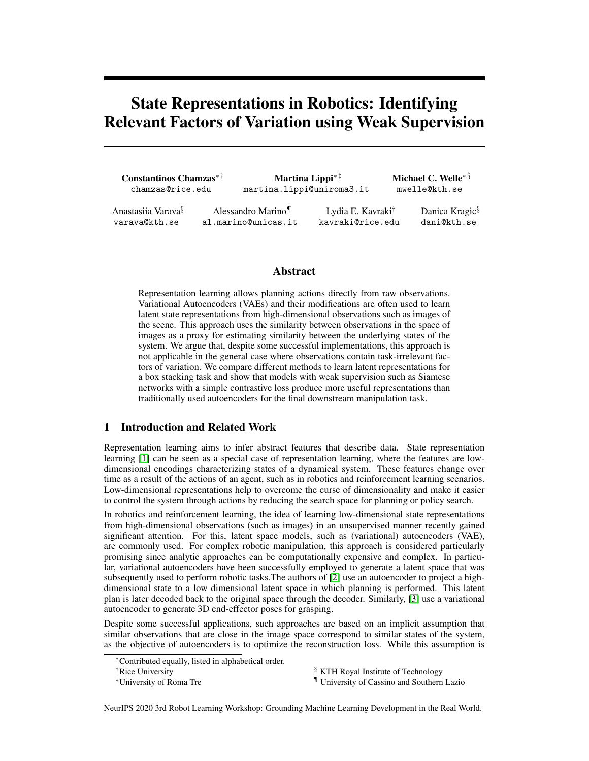## 5 Appendix

#### 5.1 Loss Functions and Architectures

In this section we describe the architectural details, the loss functions, as well as the hyperparameter for all models used. The input dimension for all models is a 256x256x3 image and the latent space for all models is 12-dimensional.

-VAE: The standard -VAE loss function is adopted:

$$
L_{\text{vae}}(x) = E_{z \sim q(z|x)}[\log p(x|z)] + D_{KL}(q(z|x)|j p(z)) \tag{1}
$$

where the first part is the reconstruction loss and the second part the KL-divergence loss. As we feed in triplets, we combine the two individual loss functions  $L_{\text{vac}-}(x_i)$  and  $L_{\text{vac}-}(x_i)$  to a single loss as follows:

$$
L_{Vae}(X_i; X_j) = \frac{1}{2}(L_{Vae}(X_i) + L_{Vae}(X_j))
$$
\n(2)

The implementation of encoder and decoder of the -VAE [9] is realized with a two layer deep ResNet architecture [13] with a depth of two per block. We train the model for 500 epochs with a scheduling for beta from 0 to 1:5 and a batch size of 64.

VAE-A: As in [5], an additional contrastive loss, called action loss, to the standard -VAE loss is introduced in VAE-A, thus resulting in the following overall loss:

$$
L_{\text{vae}-a}(X_i; X_j; a) = \frac{1}{2}(L_{\text{vae}}(X_i) + L_{\text{vae}}(X_j)) + L_{\text{action}}(X_i; X_j; a)
$$
(3)

with  $\angle_{action}(X_i; X_j)$  defined as

$$
L_{action}(x_i; x_j; a) = \begin{cases} \max(0; d_m & jjz_i & z_jjj_1 \text{) if } a = 1\\ jjz_i & z_jjj_1 \text{ if } a = 0 \end{cases}
$$
(4)

where a indicates if an action took place between  $I_1$  and  $I_2$  ( $a = 1$ ) or not ( $a = 0$ ), while  $d_m$  is a hyperparameter denoting the minimum distance that is encouraged for action pairs.

The same ResNet architecture of the -VAE is adopted for the implementation of the models VAE-A. Note that in this case also the parameter needs to be tuned. For the training, we start with the scheduling for  $= 40$  after 50 epoch warmup and increase it up to  $= 100$ . The minimum distance  $d_m$  is determined (as in [5]) by measuring the average action pair distance obtained from the -VAE. In detail, the  $d_m$  was set to 13:3, 12:9, 14:5 and 14:7 when using datasets  $D_1$ ,  $D_2$ ,  $D_3$ and  $D_m$ , respectively.

#### Siamese:

This model uses the contrastive pairwise loss function [10] which is similar to eq. 4:

$$
L_{margin}(x_i; x_j; a) = \frac{1}{2} \begin{cases} \max(0; m & k(z_i - z_j k)^2 \\ k(z_i - z_j k^2 & \text{if } a = 0 \end{cases}
$$
 (5)

where  $m = 0.5$  is the margin parameter. This loss function requires pairs of examples that are either similar or dissimilar. The Siamese network [14] architecture is comprised of two identical encoder networks. Each encoder has the following latent encoding architecture:

$$
x_1 = MaxPool(x; 2 2)
$$
  
\n
$$
x_2 = Conv(x_1; 4 4; relu)
$$
  
\n
$$
x_3 = Conv(x_2; 4 4; relu)
$$
  
\n
$$
x_4 = MaxPool(x_3; 7 7)
$$
  
\n
$$
z = FC(x_4; 12; relu)
$$

#### 5.2 Latent Space Roadmap

The Latent Space Roadmap (LSR), introduced in [5] for both rigid and deformable object manipulation, is a graph-based structure that allows to perform planning in the latent space. The LSR is built in three steps: *i)* a reference graph is constructed preserving the action pairs as connected nodes, *ii)*